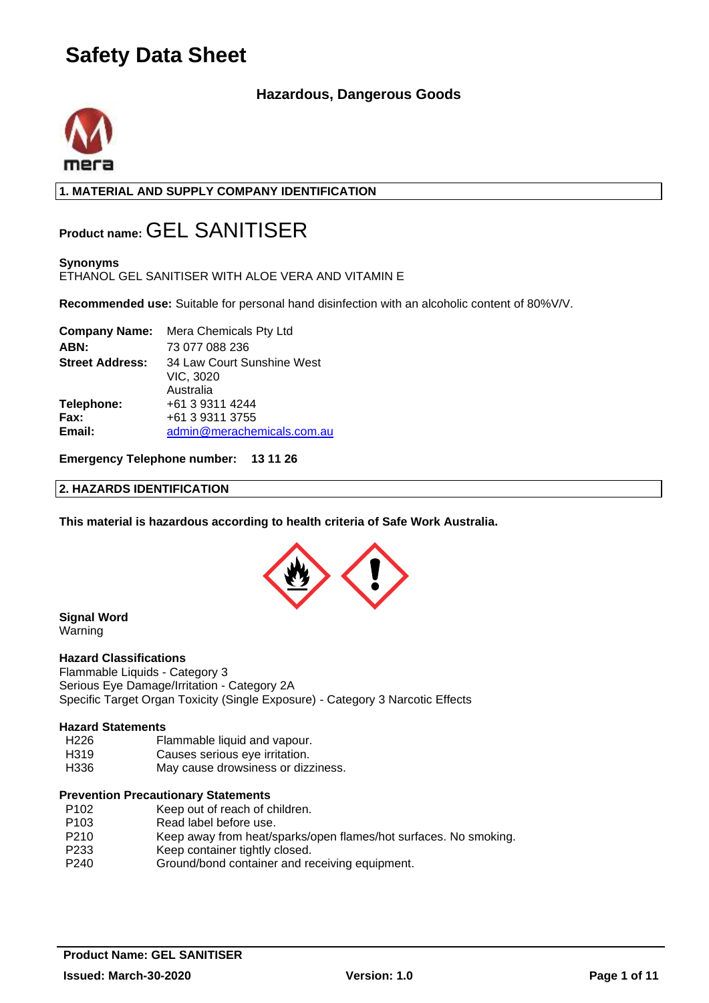# **Hazardous, Dangerous Goods**



**1. MATERIAL AND SUPPLY COMPANY IDENTIFICATION**

# **Product name:** GEL SANITISER

# **Synonyms**

ETHANOL GEL SANITISER WITH ALOE VERA AND VITAMIN E

**Recommended use:** Suitable for personal hand disinfection with an alcoholic content of 80%V/V.

|                        | <b>Company Name:</b> Mera Chemicals Pty Ltd          |
|------------------------|------------------------------------------------------|
| ABN:                   | 73 077 088 236                                       |
| <b>Street Address:</b> | 34 Law Court Sunshine West<br>VIC, 3020<br>Australia |
| Telephone:             | +61 3 9311 4244                                      |
| Fax:                   | +61 3 9311 3755                                      |
| Email:                 | admin@merachemicals.com.au                           |

### **Emergency Telephone number: 13 11 26**

#### **2. HAZARDS IDENTIFICATION**

**This material is hazardous according to health criteria of Safe Work Australia.**



#### **Signal Word** Warning

#### **Hazard Classifications**

Flammable Liquids - Category 3 Serious Eye Damage/Irritation - Category 2A Specific Target Organ Toxicity (Single Exposure) - Category 3 Narcotic Effects

#### **Hazard Statements**

- H226 Flammable liquid and vapour.<br>H319 Causes serious eve irritation.
- Causes serious eye irritation.
- H336 May cause drowsiness or dizziness.

#### **Prevention Precautionary Statements**

- P102 Keep out of reach of children.
- P103 Read label before use.
- P210 Keep away from heat/sparks/open flames/hot surfaces. No smoking.
- P233 Keep container tightly closed.
- P240 Ground/bond container and receiving equipment.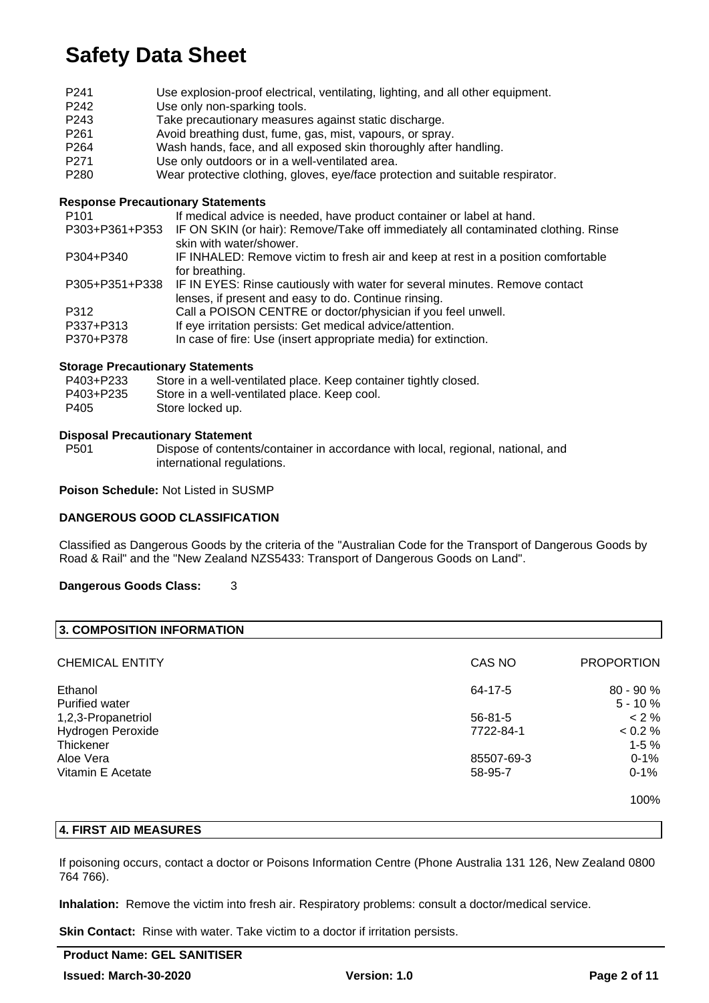| P <sub>241</sub>                         | Use explosion-proof electrical, ventilating, lighting, and all other equipment.                   |
|------------------------------------------|---------------------------------------------------------------------------------------------------|
| P <sub>242</sub>                         | Use only non-sparking tools.                                                                      |
| P <sub>243</sub>                         | Take precautionary measures against static discharge.                                             |
| P <sub>261</sub>                         | Avoid breathing dust, fume, gas, mist, vapours, or spray.                                         |
| P <sub>264</sub>                         | Wash hands, face, and all exposed skin thoroughly after handling.                                 |
| P <sub>271</sub>                         | Use only outdoors or in a well-ventilated area.                                                   |
| P <sub>280</sub>                         | Wear protective clothing, gloves, eye/face protection and suitable respirator.                    |
| <b>Response Precautionary Statements</b> |                                                                                                   |
| P <sub>101</sub>                         | If medical advice is needed, have product container or label at hand.                             |
|                                          | P303+P361+P353 IF ON SKIN (or hair): Remove/Take off immediately all contaminated clothing. Rinse |
|                                          | skin with water/shower.                                                                           |
| P304+P340                                | IF INHALED: Remove victim to fresh air and keep at rest in a position comfortable                 |
|                                          | for breathing.                                                                                    |
| P305+P351+P338                           | IF IN EYES: Rinse cautiously with water for several minutes. Remove contact                       |
|                                          | lenses, if present and easy to do. Continue rinsing.                                              |
| P312                                     | Call a POISON CENTRE or doctor/physician if you feel unwell.                                      |

P337+P313 If eye irritation persists: Get medical advice/attention.

#### P370+P378 In case of fire: Use (insert appropriate media) for extinction.

#### **Storage Precautionary Statements**

| P403+P233 | Store in a well-ventilated place. Keep container tightly closed. |
|-----------|------------------------------------------------------------------|
| P403+P235 | Store in a well-ventilated place. Keep cool.                     |
| P405      | Store locked up.                                                 |

# **Disposal Precautionary Statement**

Dispose of contents/container in accordance with local, regional, national, and international regulations.

**Poison Schedule:** Not Listed in SUSMP

#### **DANGEROUS GOOD CLASSIFICATION**

Classified as Dangerous Goods by the criteria of the "Australian Code for the Transport of Dangerous Goods by Road & Rail" and the "New Zealand NZS5433: Transport of Dangerous Goods on Land".

#### **Dangerous Goods Class:** 3

| 3. COMPOSITION INFORMATION |               |                   |
|----------------------------|---------------|-------------------|
| <b>CHEMICAL ENTITY</b>     | CAS NO        | <b>PROPORTION</b> |
| Ethanol                    | 64-17-5       | $80 - 90 %$       |
| Purified water             |               | $5 - 10 \%$       |
| 1,2,3-Propanetriol         | $56 - 81 - 5$ | $< 2 \%$          |
| Hydrogen Peroxide          | 7722-84-1     | $0.2\%$           |
| Thickener                  |               | $1 - 5%$          |
| Aloe Vera                  | 85507-69-3    | $0 - 1%$          |
| Vitamin E Acetate          | 58-95-7       | $0 - 1%$          |
|                            |               | 100%              |

# **4. FIRST AID MEASURES**

If poisoning occurs, contact a doctor or Poisons Information Centre (Phone Australia 131 126, New Zealand 0800 764 766).

**Inhalation:** Remove the victim into fresh air. Respiratory problems: consult a doctor/medical service.

**Skin Contact:** Rinse with water. Take victim to a doctor if irritation persists.

# **Product Name: GEL SANITISER**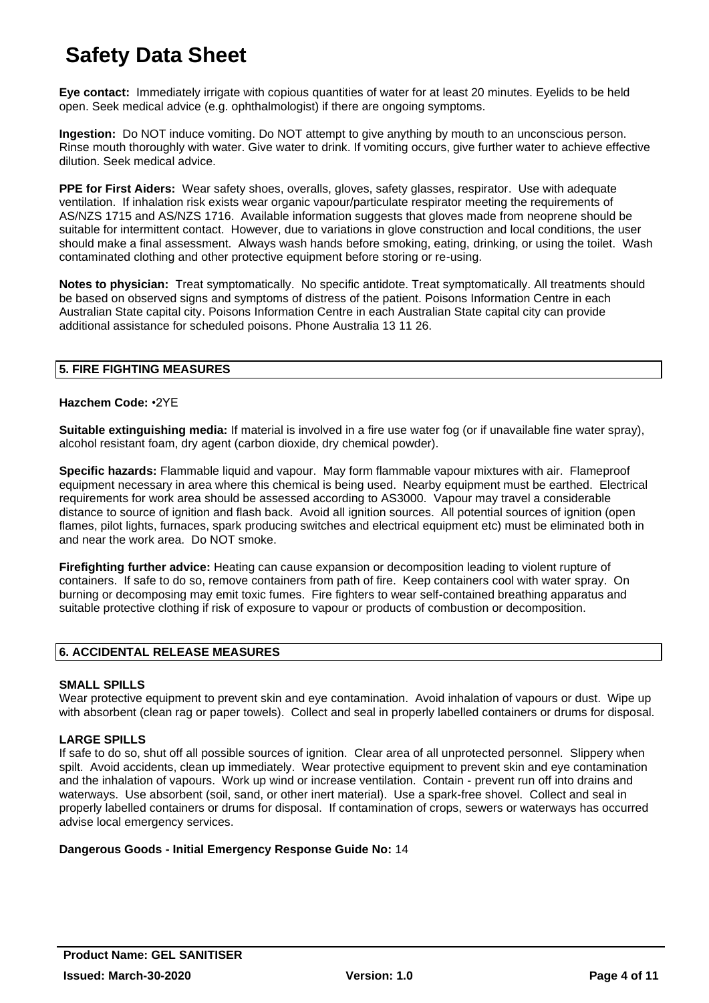**Eye contact:** Immediately irrigate with copious quantities of water for at least 20 minutes. Eyelids to be held open. Seek medical advice (e.g. ophthalmologist) if there are ongoing symptoms.

**Ingestion:** Do NOT induce vomiting. Do NOT attempt to give anything by mouth to an unconscious person. Rinse mouth thoroughly with water. Give water to drink. If vomiting occurs, give further water to achieve effective dilution. Seek medical advice.

**PPE for First Aiders:** Wear safety shoes, overalls, gloves, safety glasses, respirator. Use with adequate ventilation. If inhalation risk exists wear organic vapour/particulate respirator meeting the requirements of AS/NZS 1715 and AS/NZS 1716. Available information suggests that gloves made from neoprene should be suitable for intermittent contact. However, due to variations in glove construction and local conditions, the user should make a final assessment. Always wash hands before smoking, eating, drinking, or using the toilet. Wash contaminated clothing and other protective equipment before storing or re-using.

**Notes to physician:** Treat symptomatically. No specific antidote. Treat symptomatically. All treatments should be based on observed signs and symptoms of distress of the patient. Poisons Information Centre in each Australian State capital city. Poisons Information Centre in each Australian State capital city can provide additional assistance for scheduled poisons. Phone Australia 13 11 26.

# **5. FIRE FIGHTING MEASURES**

### **Hazchem Code:** •2YE

**Suitable extinguishing media:** If material is involved in a fire use water fog (or if unavailable fine water spray), alcohol resistant foam, dry agent (carbon dioxide, dry chemical powder).

**Specific hazards:** Flammable liquid and vapour. May form flammable vapour mixtures with air. Flameproof equipment necessary in area where this chemical is being used. Nearby equipment must be earthed. Electrical requirements for work area should be assessed according to AS3000. Vapour may travel a considerable distance to source of ignition and flash back. Avoid all ignition sources. All potential sources of ignition (open flames, pilot lights, furnaces, spark producing switches and electrical equipment etc) must be eliminated both in and near the work area. Do NOT smoke.

**Firefighting further advice:** Heating can cause expansion or decomposition leading to violent rupture of containers. If safe to do so, remove containers from path of fire. Keep containers cool with water spray. On burning or decomposing may emit toxic fumes. Fire fighters to wear self-contained breathing apparatus and suitable protective clothing if risk of exposure to vapour or products of combustion or decomposition.

### **6. ACCIDENTAL RELEASE MEASURES**

### **SMALL SPILLS**

Wear protective equipment to prevent skin and eye contamination. Avoid inhalation of vapours or dust. Wipe up with absorbent (clean rag or paper towels). Collect and seal in properly labelled containers or drums for disposal.

### **LARGE SPILLS**

If safe to do so, shut off all possible sources of ignition. Clear area of all unprotected personnel. Slippery when spilt. Avoid accidents, clean up immediately. Wear protective equipment to prevent skin and eye contamination and the inhalation of vapours. Work up wind or increase ventilation. Contain - prevent run off into drains and waterways. Use absorbent (soil, sand, or other inert material). Use a spark-free shovel. Collect and seal in properly labelled containers or drums for disposal. If contamination of crops, sewers or waterways has occurred advise local emergency services.

### **Dangerous Goods - Initial Emergency Response Guide No:** 14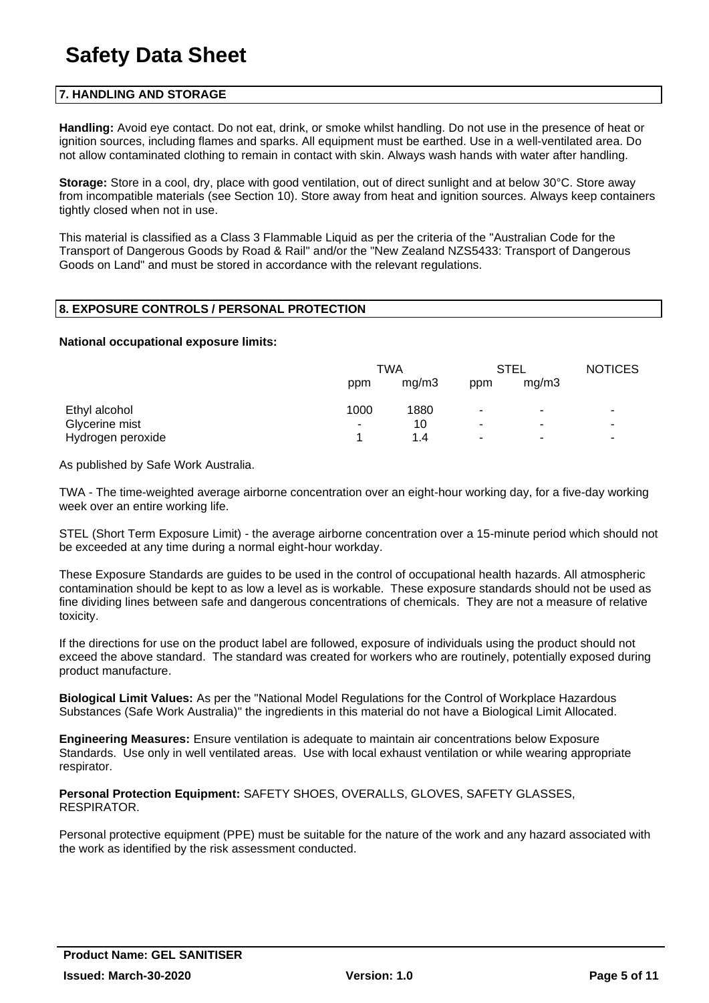### **7. HANDLING AND STORAGE**

**Handling:** Avoid eye contact. Do not eat, drink, or smoke whilst handling. Do not use in the presence of heat or ignition sources, including flames and sparks. All equipment must be earthed. Use in a well-ventilated area. Do not allow contaminated clothing to remain in contact with skin. Always wash hands with water after handling.

**Storage:** Store in a cool, dry, place with good ventilation, out of direct sunlight and at below 30°C. Store away from incompatible materials (see Section 10). Store away from heat and ignition sources. Always keep containers tightly closed when not in use.

This material is classified as a Class 3 Flammable Liquid as per the criteria of the "Australian Code for the Transport of Dangerous Goods by Road & Rail" and/or the "New Zealand NZS5433: Transport of Dangerous Goods on Land" and must be stored in accordance with the relevant regulations.

# **8. EXPOSURE CONTROLS / PERSONAL PROTECTION**

#### **National occupational exposure limits:**

|                   | TWA  |       | <b>STEL</b>           |                | <b>NOTICES</b>           |
|-------------------|------|-------|-----------------------|----------------|--------------------------|
|                   | ppm  | mq/m3 | ppm                   | mq/m3          |                          |
| Ethyl alcohol     | 1000 | 1880  | ٠                     | ۰              | ٠                        |
| Glycerine mist    | ۰    | 10    | ۰                     | ۰              | ٠                        |
| Hydrogen peroxide |      | 1.4   | $\tilde{\phantom{a}}$ | $\blacksquare$ | $\overline{\phantom{a}}$ |

As published by Safe Work Australia.

TWA - The time-weighted average airborne concentration over an eight-hour working day, for a five-day working week over an entire working life.

STEL (Short Term Exposure Limit) - the average airborne concentration over a 15-minute period which should not be exceeded at any time during a normal eight-hour workday.

These Exposure Standards are guides to be used in the control of occupational health hazards. All atmospheric contamination should be kept to as low a level as is workable. These exposure standards should not be used as fine dividing lines between safe and dangerous concentrations of chemicals. They are not a measure of relative toxicity.

If the directions for use on the product label are followed, exposure of individuals using the product should not exceed the above standard. The standard was created for workers who are routinely, potentially exposed during product manufacture.

**Biological Limit Values:** As per the "National Model Regulations for the Control of Workplace Hazardous Substances (Safe Work Australia)" the ingredients in this material do not have a Biological Limit Allocated.

**Engineering Measures:** Ensure ventilation is adequate to maintain air concentrations below Exposure Standards. Use only in well ventilated areas. Use with local exhaust ventilation or while wearing appropriate respirator.

**Personal Protection Equipment:** SAFETY SHOES, OVERALLS, GLOVES, SAFETY GLASSES, RESPIRATOR.

Personal protective equipment (PPE) must be suitable for the nature of the work and any hazard associated with the work as identified by the risk assessment conducted.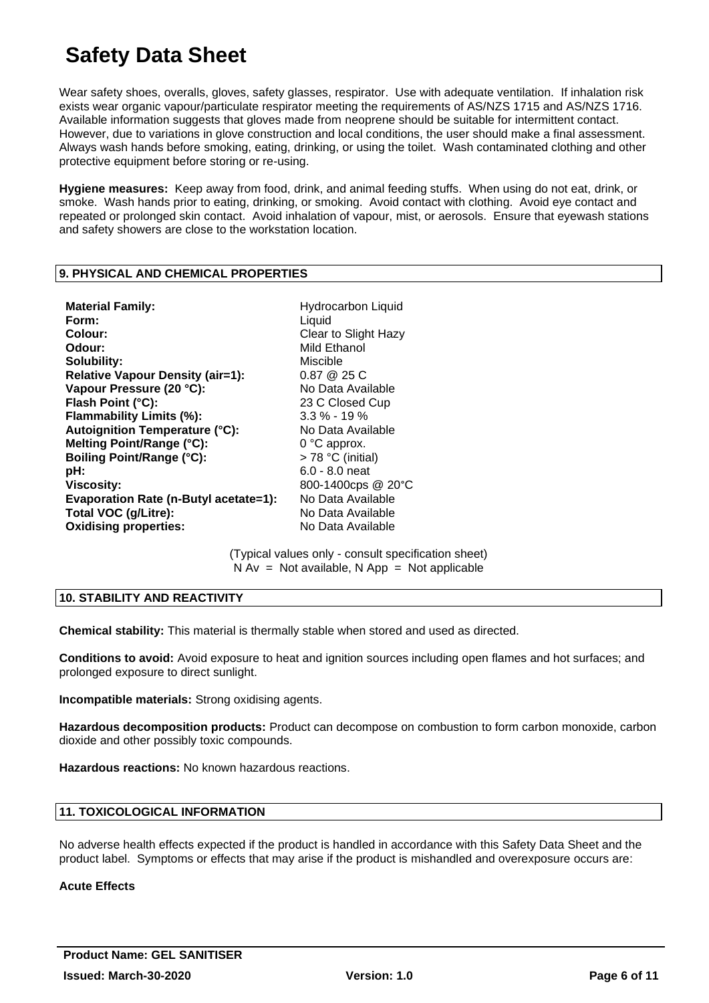Wear safety shoes, overalls, gloves, safety glasses, respirator. Use with adequate ventilation. If inhalation risk exists wear organic vapour/particulate respirator meeting the requirements of AS/NZS 1715 and AS/NZS 1716. Available information suggests that gloves made from neoprene should be suitable for intermittent contact. However, due to variations in glove construction and local conditions, the user should make a final assessment. Always wash hands before smoking, eating, drinking, or using the toilet. Wash contaminated clothing and other protective equipment before storing or re-using.

**Hygiene measures:** Keep away from food, drink, and animal feeding stuffs. When using do not eat, drink, or smoke. Wash hands prior to eating, drinking, or smoking. Avoid contact with clothing. Avoid eye contact and repeated or prolonged skin contact. Avoid inhalation of vapour, mist, or aerosols. Ensure that eyewash stations and safety showers are close to the workstation location.

### **9. PHYSICAL AND CHEMICAL PROPERTIES**

**Material Family: Hydrocarbon Liquid Hydrocarbon Liquid Form:** Liquid **Colour:** Clear to Slight Hazy **Odour:** Mild Ethanol **Solubility:** Miscible **Relative Vapour Density (air=1):** 0.87 @ 25 C **Vapour Pressure (20 °C):** No Data Available Flash Point (°C): 23 C Closed Cup **Flammability Limits (%):** 3.3 % - 19 %<br> **Autoignition Temperature (°C):** No Data Available **Autoignition Temperature (°C): Melting Point/Range (°C):** 0 °C approx. **Boiling Point/Range (°C):** > 78 °C (initial) **pH:** 6.0 - 8.0 neat **Viscosity:** 800-1400cps @ 20°C **Evaporation Rate (n-Butyl acetate=1):** No Data Available **Total VOC (g/Litre):** No Data Available **Oxidising properties:** No Data Available

(Typical values only - consult specification sheet)  $N Av = Not available$ . N App = Not applicable

### **10. STABILITY AND REACTIVITY**

**Chemical stability:** This material is thermally stable when stored and used as directed.

**Conditions to avoid:** Avoid exposure to heat and ignition sources including open flames and hot surfaces; and prolonged exposure to direct sunlight.

**Incompatible materials:** Strong oxidising agents.

**Hazardous decomposition products:** Product can decompose on combustion to form carbon monoxide, carbon dioxide and other possibly toxic compounds.

**Hazardous reactions:** No known hazardous reactions.

### **11. TOXICOLOGICAL INFORMATION**

No adverse health effects expected if the product is handled in accordance with this Safety Data Sheet and the product label. Symptoms or effects that may arise if the product is mishandled and overexposure occurs are:

### **Acute Effects**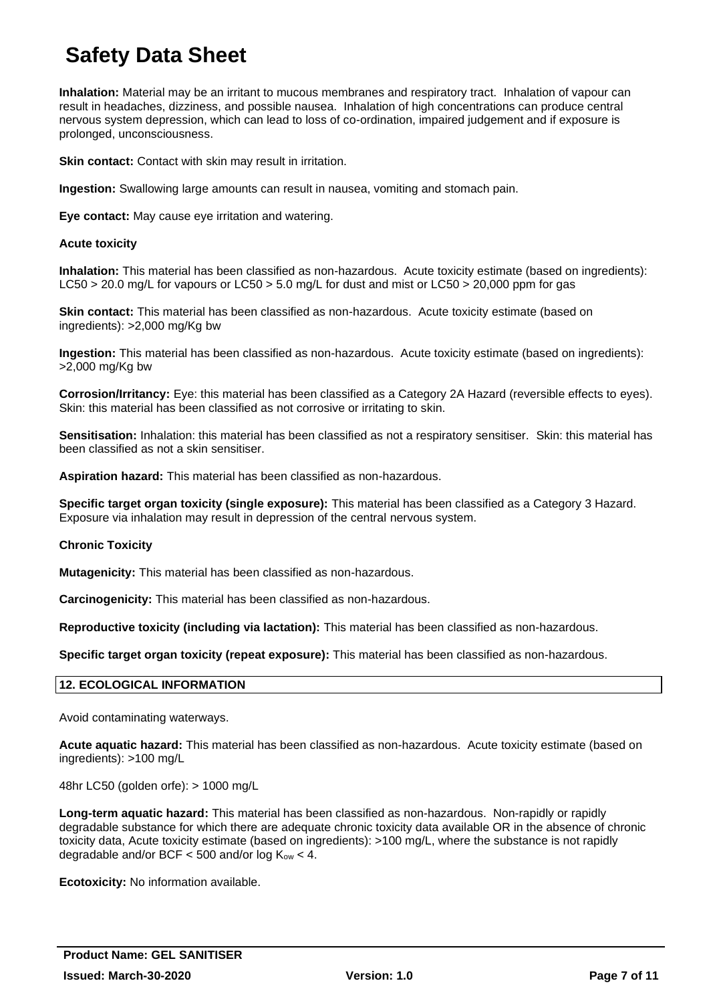**Inhalation:** Material may be an irritant to mucous membranes and respiratory tract. Inhalation of vapour can result in headaches, dizziness, and possible nausea. Inhalation of high concentrations can produce central nervous system depression, which can lead to loss of co-ordination, impaired judgement and if exposure is prolonged, unconsciousness.

**Skin contact:** Contact with skin may result in irritation.

**Ingestion:** Swallowing large amounts can result in nausea, vomiting and stomach pain.

**Eye contact:** May cause eye irritation and watering.

#### **Acute toxicity**

**Inhalation:** This material has been classified as non-hazardous. Acute toxicity estimate (based on ingredients): LC50 > 20.0 mg/L for vapours or LC50 > 5.0 mg/L for dust and mist or LC50 > 20,000 ppm for gas

**Skin contact:** This material has been classified as non-hazardous. Acute toxicity estimate (based on ingredients): >2,000 mg/Kg bw

**Ingestion:** This material has been classified as non-hazardous. Acute toxicity estimate (based on ingredients): >2,000 mg/Kg bw

**Corrosion/Irritancy:** Eye: this material has been classified as a Category 2A Hazard (reversible effects to eyes). Skin: this material has been classified as not corrosive or irritating to skin.

**Sensitisation:** Inhalation: this material has been classified as not a respiratory sensitiser. Skin: this material has been classified as not a skin sensitiser.

**Aspiration hazard:** This material has been classified as non-hazardous.

**Specific target organ toxicity (single exposure):** This material has been classified as a Category 3 Hazard. Exposure via inhalation may result in depression of the central nervous system.

#### **Chronic Toxicity**

**Mutagenicity:** This material has been classified as non-hazardous.

**Carcinogenicity:** This material has been classified as non-hazardous.

**Reproductive toxicity (including via lactation):** This material has been classified as non-hazardous.

**Specific target organ toxicity (repeat exposure):** This material has been classified as non-hazardous.

### **12. ECOLOGICAL INFORMATION**

Avoid contaminating waterways.

**Acute aquatic hazard:** This material has been classified as non-hazardous. Acute toxicity estimate (based on ingredients): >100 mg/L

48hr LC50 (golden orfe): > 1000 mg/L

**Long-term aquatic hazard:** This material has been classified as non-hazardous. Non-rapidly or rapidly degradable substance for which there are adequate chronic toxicity data available OR in the absence of chronic toxicity data, Acute toxicity estimate (based on ingredients): >100 mg/L, where the substance is not rapidly degradable and/or BCF  $<$  500 and/or log  $K_{ow}$   $<$  4.

**Ecotoxicity:** No information available.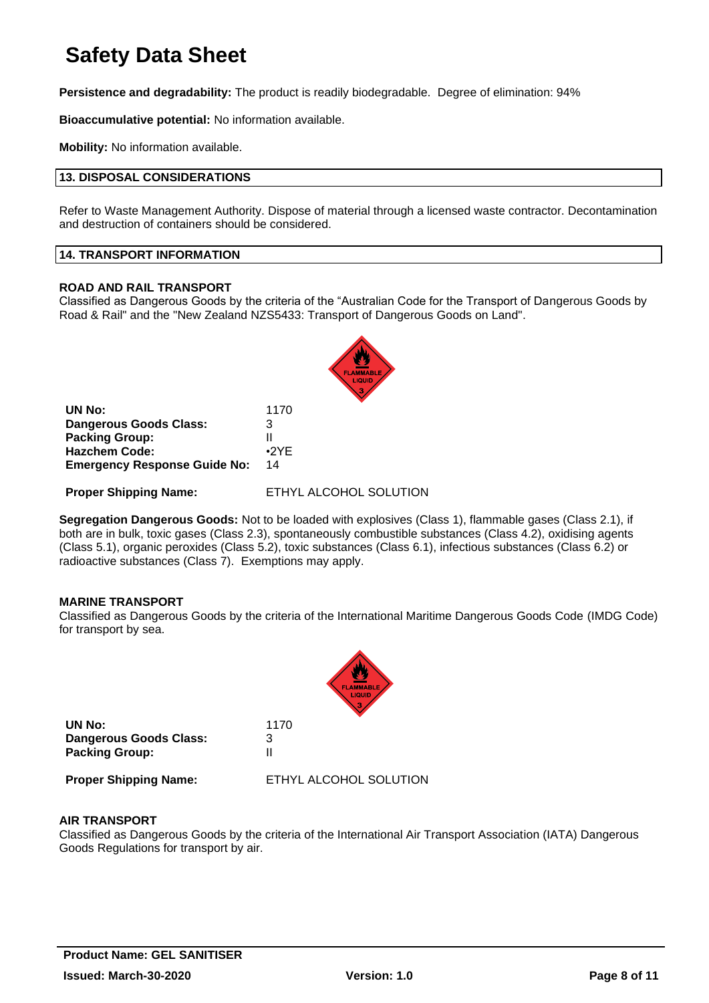**Persistence and degradability:** The product is readily biodegradable. Degree of elimination: 94%

**Bioaccumulative potential:** No information available.

**Mobility:** No information available.

#### **13. DISPOSAL CONSIDERATIONS**

Refer to Waste Management Authority. Dispose of material through a licensed waste contractor. Decontamination and destruction of containers should be considered.

#### **14. TRANSPORT INFORMATION**

#### **ROAD AND RAIL TRANSPORT**

Classified as Dangerous Goods by the criteria of the "Australian Code for the Transport of Dangerous Goods by Road & Rail" and the "New Zealand NZS5433: Transport of Dangerous Goods on Land".



| UN No:                              | 1170        |
|-------------------------------------|-------------|
| <b>Dangerous Goods Class:</b>       | 3           |
| <b>Packing Group:</b>               | н           |
| <b>Hazchem Code:</b>                | $\cdot$ 2YF |
| <b>Emergency Response Guide No:</b> | 14          |

**Proper Shipping Name:** ETHYL ALCOHOL SOLUTION

**Segregation Dangerous Goods:** Not to be loaded with explosives (Class 1), flammable gases (Class 2.1), if both are in bulk, toxic gases (Class 2.3), spontaneously combustible substances (Class 4.2), oxidising agents (Class 5.1), organic peroxides (Class 5.2), toxic substances (Class 6.1), infectious substances (Class 6.2) or radioactive substances (Class 7). Exemptions may apply.

#### **MARINE TRANSPORT**

Classified as Dangerous Goods by the criteria of the International Maritime Dangerous Goods Code (IMDG Code) for transport by sea.

|                                                                  | <b>FLAMMABLE</b>       |
|------------------------------------------------------------------|------------------------|
| UN No:<br><b>Dangerous Goods Class:</b><br><b>Packing Group:</b> | 1170<br>3<br>Ш         |
| <b>Proper Shipping Name:</b>                                     | ETHYL ALCOHOL SOLUTION |

#### **AIR TRANSPORT**

Classified as Dangerous Goods by the criteria of the International Air Transport Association (IATA) Dangerous Goods Regulations for transport by air.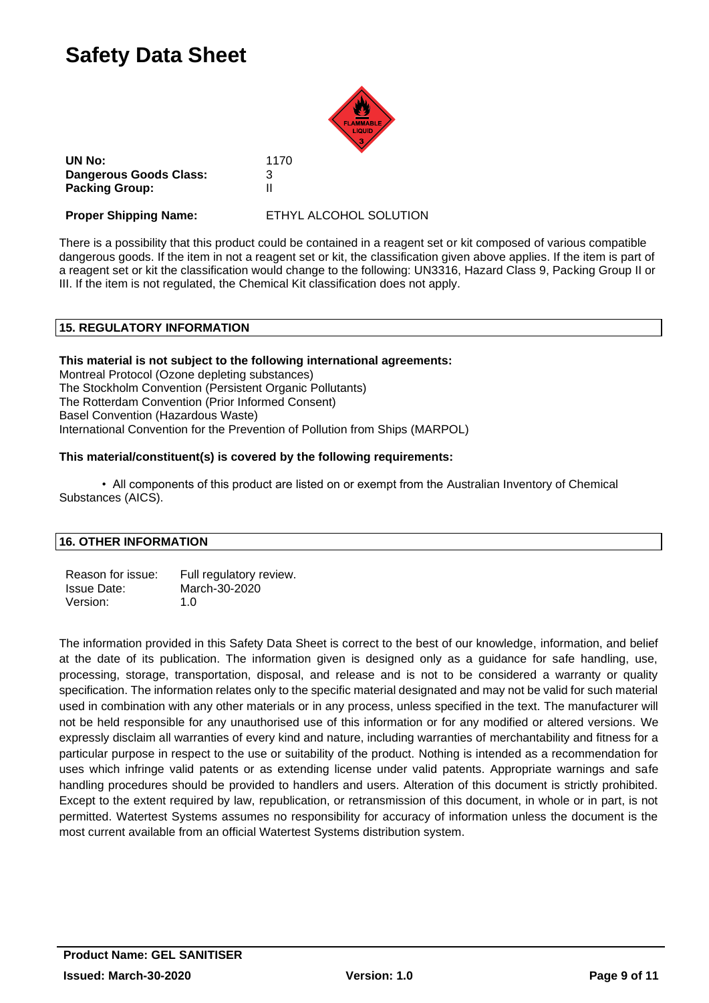

**UN No:** 1170 **Dangerous Goods Class:** 3 **Packing Group:** II

**Proper Shipping Name:** ETHYL ALCOHOL SOLUTION

There is a possibility that this product could be contained in a reagent set or kit composed of various compatible dangerous goods. If the item in not a reagent set or kit, the classification given above applies. If the item is part of a reagent set or kit the classification would change to the following: UN3316, Hazard Class 9, Packing Group II or III. If the item is not regulated, the Chemical Kit classification does not apply.

# **15. REGULATORY INFORMATION**

### **This material is not subject to the following international agreements:**

Montreal Protocol (Ozone depleting substances) The Stockholm Convention (Persistent Organic Pollutants) The Rotterdam Convention (Prior Informed Consent) Basel Convention (Hazardous Waste) International Convention for the Prevention of Pollution from Ships (MARPOL)

#### **This material/constituent(s) is covered by the following requirements:**

• All components of this product are listed on or exempt from the Australian Inventory of Chemical Substances (AICS).

### **16. OTHER INFORMATION**

| Reason for issue:  | Full regulatory review. |
|--------------------|-------------------------|
| <b>Issue Date:</b> | March-30-2020           |
| Version:           | 1. $\Omega$             |

The information provided in this Safety Data Sheet is correct to the best of our knowledge, information, and belief at the date of its publication. The information given is designed only as a guidance for safe handling, use, processing, storage, transportation, disposal, and release and is not to be considered a warranty or quality specification. The information relates only to the specific material designated and may not be valid for such material used in combination with any other materials or in any process, unless specified in the text. The manufacturer will not be held responsible for any unauthorised use of this information or for any modified or altered versions. We expressly disclaim all warranties of every kind and nature, including warranties of merchantability and fitness for a particular purpose in respect to the use or suitability of the product. Nothing is intended as a recommendation for uses which infringe valid patents or as extending license under valid patents. Appropriate warnings and safe handling procedures should be provided to handlers and users. Alteration of this document is strictly prohibited. Except to the extent required by law, republication, or retransmission of this document, in whole or in part, is not permitted. Watertest Systems assumes no responsibility for accuracy of information unless the document is the most current available from an official Watertest Systems distribution system.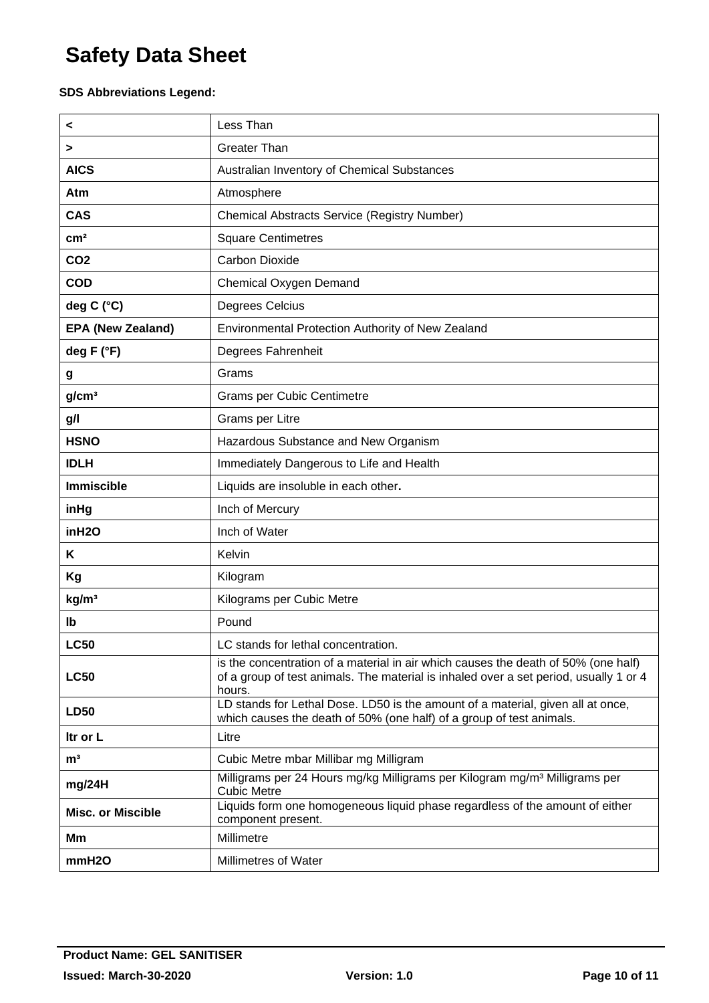# **SDS Abbreviations Legend:**

| <                        | Less Than                                                                                                                                                                             |
|--------------------------|---------------------------------------------------------------------------------------------------------------------------------------------------------------------------------------|
| >                        | <b>Greater Than</b>                                                                                                                                                                   |
| <b>AICS</b>              | Australian Inventory of Chemical Substances                                                                                                                                           |
| Atm                      | Atmosphere                                                                                                                                                                            |
| <b>CAS</b>               | Chemical Abstracts Service (Registry Number)                                                                                                                                          |
| cm <sup>2</sup>          | <b>Square Centimetres</b>                                                                                                                                                             |
| CO <sub>2</sub>          | <b>Carbon Dioxide</b>                                                                                                                                                                 |
| <b>COD</b>               | <b>Chemical Oxygen Demand</b>                                                                                                                                                         |
| deg C (°C)               | Degrees Celcius                                                                                                                                                                       |
| <b>EPA (New Zealand)</b> | Environmental Protection Authority of New Zealand                                                                                                                                     |
| deg F (°F)               | Degrees Fahrenheit                                                                                                                                                                    |
| g                        | Grams                                                                                                                                                                                 |
| g/cm <sup>3</sup>        | <b>Grams per Cubic Centimetre</b>                                                                                                                                                     |
| g/l                      | Grams per Litre                                                                                                                                                                       |
| <b>HSNO</b>              | Hazardous Substance and New Organism                                                                                                                                                  |
| <b>IDLH</b>              | Immediately Dangerous to Life and Health                                                                                                                                              |
| <b>Immiscible</b>        | Liquids are insoluble in each other.                                                                                                                                                  |
| inHg                     | Inch of Mercury                                                                                                                                                                       |
| inH <sub>20</sub>        | Inch of Water                                                                                                                                                                         |
| Κ                        | Kelvin                                                                                                                                                                                |
| Kg                       | Kilogram                                                                                                                                                                              |
| kg/m <sup>3</sup>        | Kilograms per Cubic Metre                                                                                                                                                             |
| lb                       | Pound                                                                                                                                                                                 |
| <b>LC50</b>              | LC stands for lethal concentration                                                                                                                                                    |
| <b>LC50</b>              | is the concentration of a material in air which causes the death of 50% (one half)<br>of a group of test animals. The material is inhaled over a set period, usually 1 or 4<br>hours. |
| <b>LD50</b>              | LD stands for Lethal Dose. LD50 is the amount of a material, given all at once,<br>which causes the death of 50% (one half) of a group of test animals.                               |
| Itr or L                 | Litre                                                                                                                                                                                 |
| m <sup>3</sup>           | Cubic Metre mbar Millibar mg Milligram                                                                                                                                                |
| mg/24H                   | Milligrams per 24 Hours mg/kg Milligrams per Kilogram mg/m <sup>3</sup> Milligrams per<br><b>Cubic Metre</b>                                                                          |
| <b>Misc. or Miscible</b> | Liquids form one homogeneous liquid phase regardless of the amount of either<br>component present.                                                                                    |
| Мm                       | Millimetre                                                                                                                                                                            |
| mmH <sub>20</sub>        | Millimetres of Water                                                                                                                                                                  |